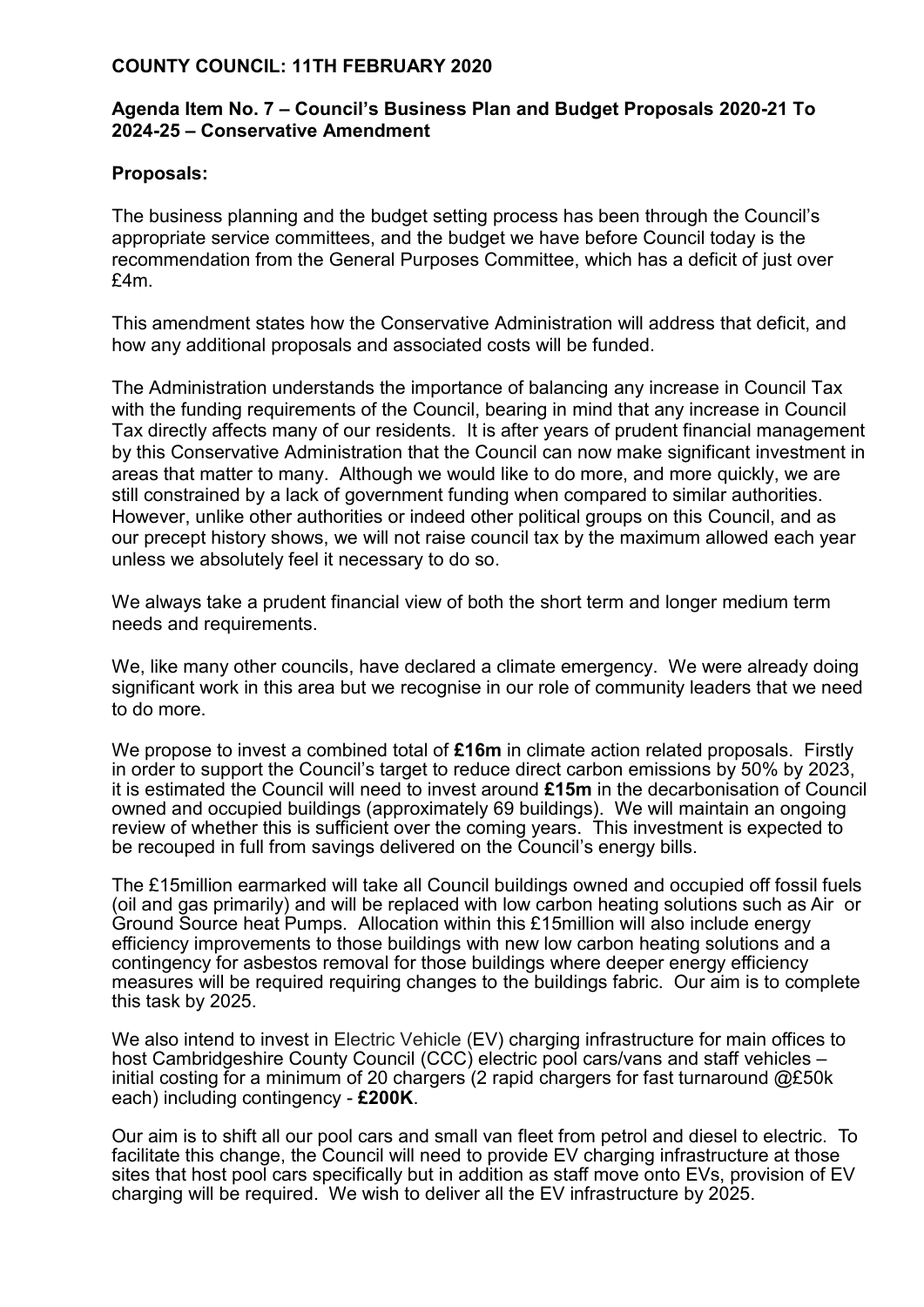## **COUNTY COUNCIL: 11TH FEBRUARY 2020**

## **Agenda Item No. 7 – Council's Business Plan and Budget Proposals 2020-21 To 2024-25 – Conservative Amendment**

## **Proposals:**

The business planning and the budget setting process has been through the Council's appropriate service committees, and the budget we have before Council today is the recommendation from the General Purposes Committee, which has a deficit of just over £4m.

This amendment states how the Conservative Administration will address that deficit, and how any additional proposals and associated costs will be funded.

The Administration understands the importance of balancing any increase in Council Tax with the funding requirements of the Council, bearing in mind that any increase in Council Tax directly affects many of our residents. It is after years of prudent financial management by this Conservative Administration that the Council can now make significant investment in areas that matter to many. Although we would like to do more, and more quickly, we are still constrained by a lack of government funding when compared to similar authorities. However, unlike other authorities or indeed other political groups on this Council, and as our precept history shows, we will not raise council tax by the maximum allowed each year unless we absolutely feel it necessary to do so.

We always take a prudent financial view of both the short term and longer medium term needs and requirements.

We, like many other councils, have declared a climate emergency. We were already doing significant work in this area but we recognise in our role of community leaders that we need to do more.

We propose to invest a combined total of £16m in climate action related proposals. Firstly in order to support the Council's target to reduce direct carbon emissions by 50% by 2023, it is estimated the Council will need to invest around **£15m** in the decarbonisation of Council owned and occupied buildings (approximately 69 buildings). We will maintain an ongoing review of whether this is sufficient over the coming years. This investment is expected to be recouped in full from savings delivered on the Council's energy bills.

The £15million earmarked will take all Council buildings owned and occupied off fossil fuels (oil and gas primarily) and will be replaced with low carbon heating solutions such as Air or Ground Source heat Pumps. Allocation within this £15million will also include energy efficiency improvements to those buildings with new low carbon heating solutions and a contingency for asbestos removal for those buildings where deeper energy efficiency measures will be required requiring changes to the buildings fabric. Our aim is to complete this task by 2025.

We also intend to invest in Electric Vehicle (EV) charging infrastructure for main offices to host Cambridgeshire County Council (CCC) electric pool cars/vans and staff vehicles – initial costing for a minimum of 20 chargers (2 rapid chargers for fast turnaround @£50k each) including contingency - **£200K**.

Our aim is to shift all our pool cars and small van fleet from petrol and diesel to electric. To facilitate this change, the Council will need to provide EV charging infrastructure at those sites that host pool cars specifically but in addition as staff move onto EVs, provision of EV charging will be required. We wish to deliver all the EV infrastructure by 2025.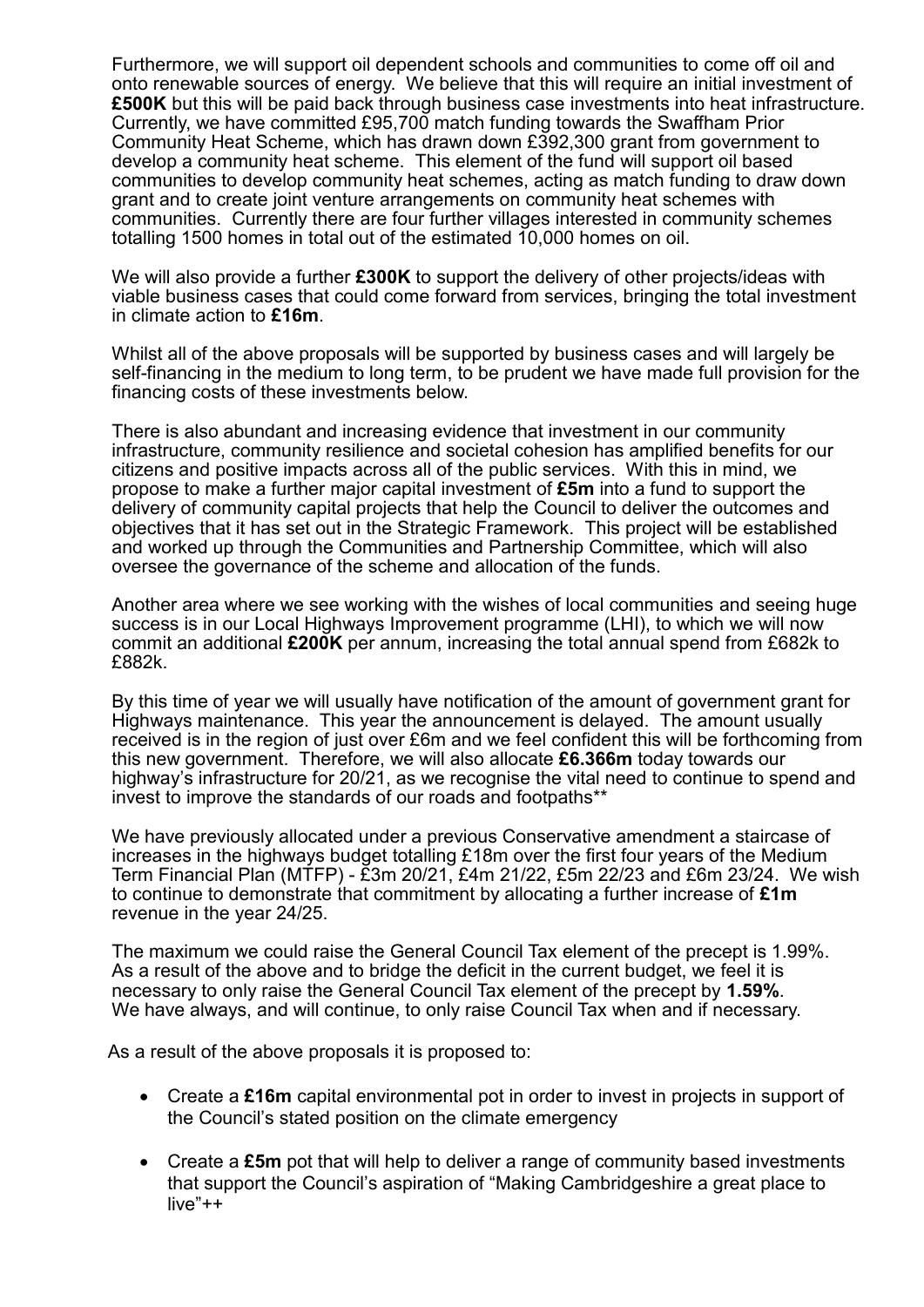Furthermore, we will support oil dependent schools and communities to come off oil and onto renewable sources of energy. We believe that this will require an initial investment of **£500K** but this will be paid back through business case investments into heat infrastructure. Currently, we have committed £95,700 match funding towards the Swaffham Prior Community Heat Scheme, which has drawn down £392,300 grant from government to develop a community heat scheme. This element of the fund will support oil based communities to develop community heat schemes, acting as match funding to draw down grant and to create joint venture arrangements on community heat schemes with communities. Currently there are four further villages interested in community schemes totalling 1500 homes in total out of the estimated 10,000 homes on oil.

We will also provide a further **£300K** to support the delivery of other projects/ideas with viable business cases that could come forward from services, bringing the total investment in climate action to **£16m**.

Whilst all of the above proposals will be supported by business cases and will largely be self-financing in the medium to long term, to be prudent we have made full provision for the financing costs of these investments below.

There is also abundant and increasing evidence that investment in our community infrastructure, community resilience and societal cohesion has amplified benefits for our citizens and positive impacts across all of the public services. With this in mind, we propose to make a further major capital investment of **£5m** into a fund to support the delivery of community capital projects that help the Council to deliver the outcomes and objectives that it has set out in the Strategic Framework. This project will be established and worked up through the Communities and Partnership Committee, which will also oversee the governance of the scheme and allocation of the funds.

Another area where we see working with the wishes of local communities and seeing huge success is in our Local Highways Improvement programme (LHI), to which we will now commit an additional **£200K** per annum, increasing the total annual spend from £682k to £882k.

By this time of year we will usually have notification of the amount of government grant for Highways maintenance. This year the announcement is delayed. The amount usually received is in the region of just over £6m and we feel confident this will be forthcoming from this new government. Therefore, we will also allocate **£6.366m** today towards our highway's infrastructure for 20/21, as we recognise the vital need to continue to spend and invest to improve the standards of our roads and footpaths\*\*

We have previously allocated under a previous Conservative amendment a staircase of increases in the highways budget totalling £18m over the first four years of the Medium Term Financial Plan (MTFP) - £3m 20/21, £4m 21/22, £5m 22/23 and £6m 23/24. We wish to continue to demonstrate that commitment by allocating a further increase of **£1m** revenue in the year 24/25.

The maximum we could raise the General Council Tax element of the precept is 1.99%. As a result of the above and to bridge the deficit in the current budget, we feel it is necessary to only raise the General Council Tax element of the precept by **1.59%**. We have always, and will continue, to only raise Council Tax when and if necessary.

As a result of the above proposals it is proposed to:

- Create a **£16m** capital environmental pot in order to invest in projects in support of the Council's stated position on the climate emergency
- Create a **£5m** pot that will help to deliver a range of community based investments that support the Council's aspiration of "Making Cambridgeshire a great place to live"++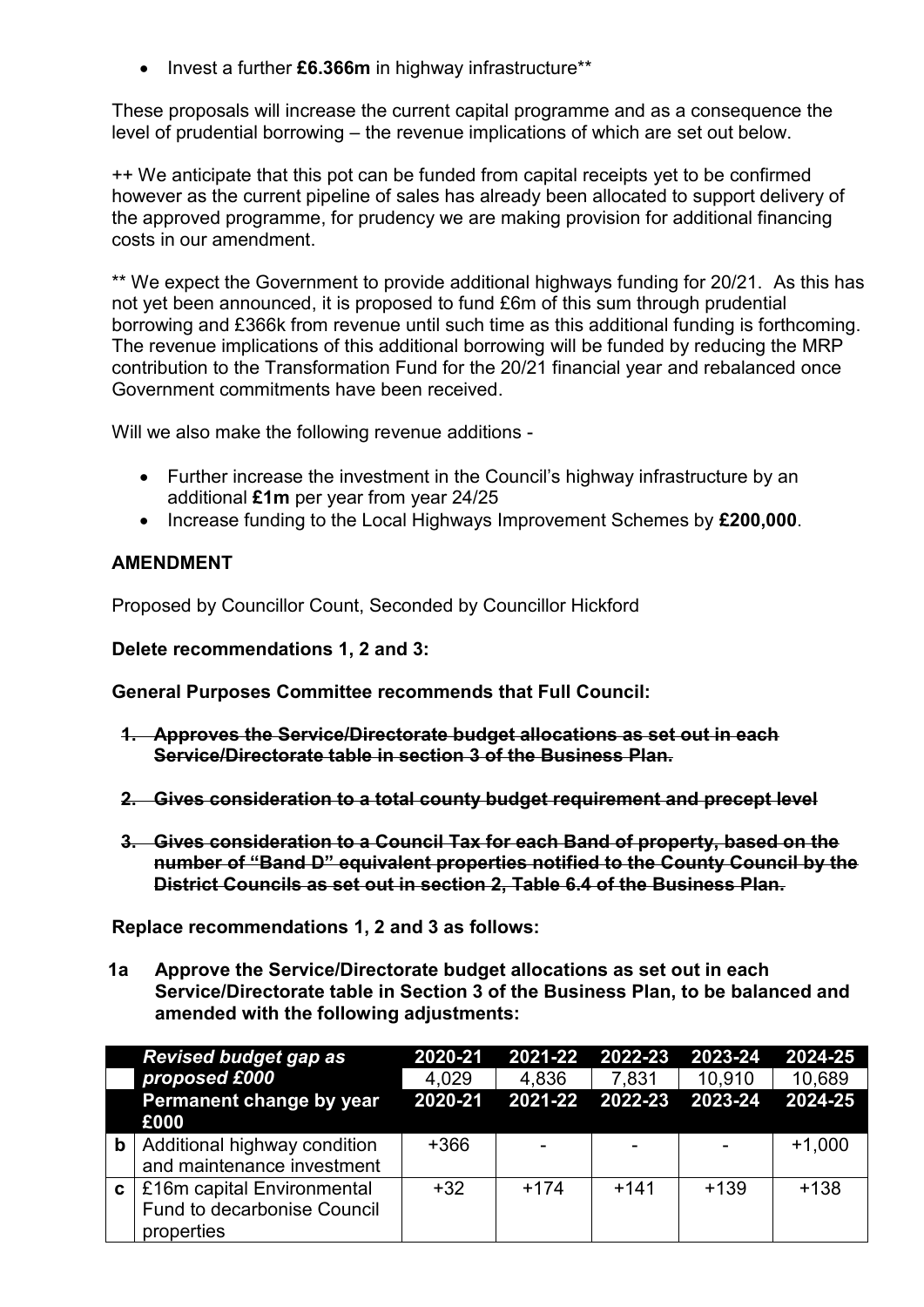• Invest a further £6.366m in highway infrastructure\*\*

These proposals will increase the current capital programme and as a consequence the level of prudential borrowing – the revenue implications of which are set out below.

++ We anticipate that this pot can be funded from capital receipts yet to be confirmed however as the current pipeline of sales has already been allocated to support delivery of the approved programme, for prudency we are making provision for additional financing costs in our amendment.

\*\* We expect the Government to provide additional highways funding for 20/21. As this has not yet been announced, it is proposed to fund £6m of this sum through prudential borrowing and £366k from revenue until such time as this additional funding is forthcoming. The revenue implications of this additional borrowing will be funded by reducing the MRP contribution to the Transformation Fund for the 20/21 financial year and rebalanced once Government commitments have been received.

Will we also make the following revenue additions -

- Further increase the investment in the Council's highway infrastructure by an additional **£1m** per year from year 24/25
- Increase funding to the Local Highways Improvement Schemes by **£200,000**.

## **AMENDMENT**

Proposed by Councillor Count, Seconded by Councillor Hickford

**Delete recommendations 1, 2 and 3:**

**General Purposes Committee recommends that Full Council:**

- **1. Approves the Service/Directorate budget allocations as set out in each Service/Directorate table in section 3 of the Business Plan.**
- **2. Gives consideration to a total county budget requirement and precept level**
- **3. Gives consideration to a Council Tax for each Band of property, based on the number of "Band D" equivalent properties notified to the County Council by the District Councils as set out in section 2, Table 6.4 of the Business Plan.**

**Replace recommendations 1, 2 and 3 as follows:**

**1a Approve the Service/Directorate budget allocations as set out in each Service/Directorate table in Section 3 of the Business Plan, to be balanced and amended with the following adjustments:**

|              | <b>Revised budget gap as</b> | 2020-21 | 2021-22 2022-23 2023-24         |        |        | 2024-25  |
|--------------|------------------------------|---------|---------------------------------|--------|--------|----------|
|              | proposed £000                | 4,029   | 4.836                           | 7,831  | 10,910 | 10,689   |
|              | Permanent change by year     |         | 2020-21 2021-22 2022-23 2023-24 |        |        | 2024-25  |
|              | £000                         |         |                                 |        |        |          |
| $\mathbf b$  | Additional highway condition | $+366$  |                                 |        |        | $+1,000$ |
|              | and maintenance investment   |         |                                 |        |        |          |
| $\mathbf{c}$ | £16m capital Environmental   | $+32$   | $+174$                          | $+141$ | $+139$ | $+138$   |
|              | Fund to decarbonise Council  |         |                                 |        |        |          |
|              | properties                   |         |                                 |        |        |          |